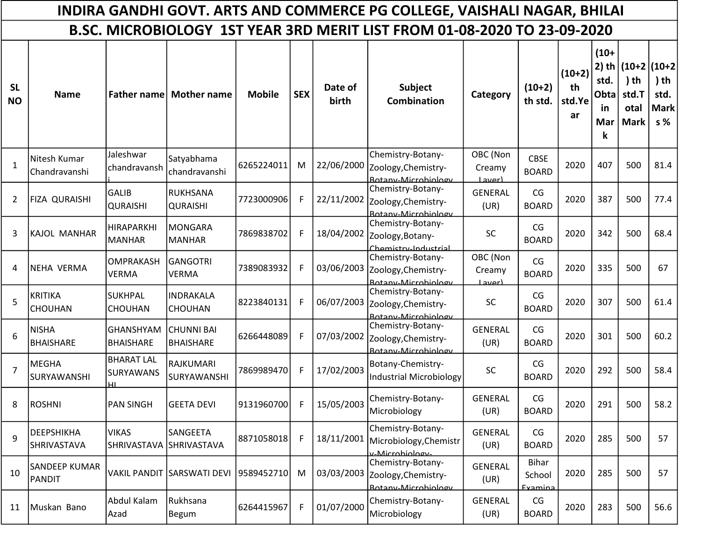|                                                                          | INDIRA GANDHI GOVT. ARTS AND COMMERCE PG COLLEGE, VAISHALI NAGAR, BHILAI |                                             |                                       |               |            |                  |                                                                            |                                    |                             |                                |                                                            |                                                          |                                               |
|--------------------------------------------------------------------------|--------------------------------------------------------------------------|---------------------------------------------|---------------------------------------|---------------|------------|------------------|----------------------------------------------------------------------------|------------------------------------|-----------------------------|--------------------------------|------------------------------------------------------------|----------------------------------------------------------|-----------------------------------------------|
| B.SC. MICROBIOLOGY 1ST YEAR 3RD MERIT LIST FROM 01-08-2020 TO 23-09-2020 |                                                                          |                                             |                                       |               |            |                  |                                                                            |                                    |                             |                                |                                                            |                                                          |                                               |
| <b>SL</b><br><b>NO</b>                                                   | <b>Name</b>                                                              | <b>Father name</b>                          | <b>Mother name</b>                    | <b>Mobile</b> | <b>SEX</b> | Date of<br>birth | <b>Subject</b><br><b>Combination</b>                                       | Category                           | $(10+2)$<br>th std.         | $(10+2)$<br>th<br>std.Ye<br>ar | $(10+$<br>$2)$ th<br>std.<br>Obta<br><u>in</u><br>Mar<br>k | $(10+2)(10+2)$<br>$)$ th<br>std.T<br>otal<br><b>Mark</b> | ) th<br>std.<br><b>Mark</b><br>s <sub>%</sub> |
| $\mathbf{1}$                                                             | Nitesh Kumar<br>Chandravanshi                                            | Jaleshwar<br>chandravansh                   | Satyabhama<br>chandravanshi           | 6265224011    | M          |                  | Chemistry-Botany-<br>22/06/2000 Zoology, Chemistry-<br>Rotany-Microbiology | OBC (Non<br>Creamy<br><b>Laver</b> | <b>CBSE</b><br><b>BOARD</b> | 2020                           | 407                                                        | 500                                                      | 81.4                                          |
| 2                                                                        | FIZA QURAISHI                                                            | <b>GALIB</b><br><b>QURAISHI</b>             | RUKHSANA<br><b>QURAISHI</b>           | 7723000906    | F.         | 22/11/2002       | Chemistry-Botany-<br>Zoology, Chemistry-<br>Rotany-Microbiology            | GENERAL<br>(UR)                    | CG<br><b>BOARD</b>          | 2020                           | 387                                                        | 500                                                      | 77.4                                          |
| 3                                                                        | KAJOL MANHAR                                                             | <b>HIRAPARKHI</b><br><b>MANHAR</b>          | <b>MONGARA</b><br><b>MANHAR</b>       | 7869838702    | F.         | 18/04/2002       | Chemistry-Botany-<br>Zoology, Botany-<br>Chemistry-Industrial              | SC                                 | CG<br><b>BOARD</b>          | 2020                           | 342                                                        | 500                                                      | 68.4                                          |
| 4                                                                        | <b>NEHA VERMA</b>                                                        | <b>OMPRAKASH</b><br><b>VERMA</b>            | <b>GANGOTRI</b><br><b>VERMA</b>       | 7389083932    | F.         | 03/06/2003       | Chemistry-Botany-<br>Zoology, Chemistry-<br>Rotany-Microbiology            | OBC (Non<br>Creamy<br>Laverl       | CG<br><b>BOARD</b>          | 2020                           | 335                                                        | 500                                                      | 67                                            |
| 5                                                                        | <b>KRITIKA</b><br><b>CHOUHAN</b>                                         | <b>SUKHPAL</b><br><b>CHOUHAN</b>            | <b>INDRAKALA</b><br><b>CHOUHAN</b>    | 8223840131    | F.         | 06/07/2003       | Chemistry-Botany-<br>Zoology, Chemistry-<br>Rotany-Microbiology            | <b>SC</b>                          | CG<br><b>BOARD</b>          | 2020                           | 307                                                        | 500                                                      | 61.4                                          |
| 6                                                                        | <b>NISHA</b><br><b>BHAISHARE</b>                                         | <b>GHANSHYAM</b><br><b>BHAISHARE</b>        | <b>CHUNNI BAI</b><br><b>BHAISHARE</b> | 6266448089    | F.         | 07/03/2002       | Chemistry-Botany-<br>Zoology, Chemistry-<br>Rotany-Microbiology            | <b>GENERAL</b><br>(UR)             | CG<br><b>BOARD</b>          | 2020                           | 301                                                        | 500                                                      | 60.2                                          |
| $\overline{7}$                                                           | MEGHA<br>SURYAWANSHI                                                     | <b>BHARAT LAL</b><br><b>SURYAWANS</b><br>нı | <b>RAJKUMARI</b><br>SURYAWANSHI       | 7869989470    | F.         | 17/02/2003       | Botany-Chemistry-<br><b>Industrial Microbiology</b>                        | SC                                 | CG<br><b>BOARD</b>          | 2020                           | 292                                                        | 500                                                      | 58.4                                          |
| 8                                                                        | <b>ROSHNI</b>                                                            | <b>PAN SINGH</b>                            | <b>GEETA DEVI</b>                     | 9131960700    | F          | 15/05/2003       | Chemistry-Botany-<br>Microbiology                                          | <b>GENERAL</b><br>(UR)             | CG<br><b>BOARD</b>          | 2020                           | 291                                                        | 500                                                      | 58.2                                          |
| 9                                                                        | DEEPSHIKHA<br>SHRIVASTAVA                                                | <b>VIKAS</b><br>SHRIVASTAVA                 | SANGEETA<br><b>SHRIVASTAVA</b>        | 8871058018    | F          | 18/11/2001       | Chemistry-Botany-<br>Microbiology, Chemistr<br>y-Microbiology-             | GENERAL<br>(UR)                    | CG<br><b>BOARD</b>          | 2020                           | 285                                                        | 500                                                      | 57                                            |
| 10                                                                       | <b>SANDEEP KUMAR</b><br>PANDIT                                           |                                             | VAKIL PANDIT SARSWATI DEVI            | 9589452710    | M          | 03/03/2003       | Chemistry-Botany-<br>Zoology, Chemistry-<br>Rotany-Microbiology            | <b>GENERAL</b><br>(UR)             | Bihar<br>School<br>Examina  | 2020                           | 285                                                        | 500                                                      | 57                                            |
| 11                                                                       | Muskan Bano                                                              | Abdul Kalam<br>Azad                         | Rukhsana<br>Begum                     | 6264415967    | F          | 01/07/2000       | Chemistry-Botany-<br>Microbiology                                          | GENERAL<br>(UR)                    | CG<br><b>BOARD</b>          | 2020                           | 283                                                        | 500                                                      | 56.6                                          |